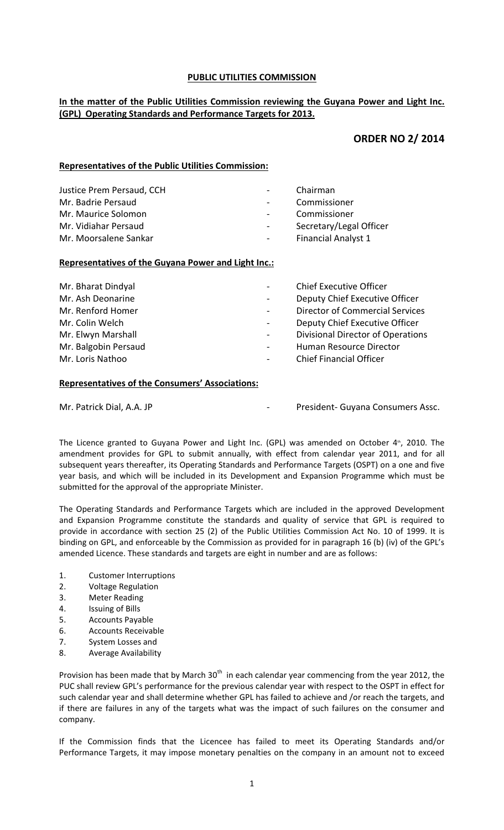### **PUBLIC UTILITIES COMMISSION**

# **In the matter of the Public Utilities Commission reviewing the Guyana Power and Light Inc. (GPL) Operating Standards and Performance Targets for 2013.**

# **ORDER NO 2/ 2014**

# **Representatives of the Public Utilities Commission:**

| Justice Prem Persaud, CCH | $\sim$ 10 $\pm$ | Chairman                   |
|---------------------------|-----------------|----------------------------|
| Mr. Badrie Persaud        | $\sim$ 10 $\pm$ | Commissioner               |
| Mr. Maurice Solomon       | $\sim 100$      | Commissioner               |
| Mr. Vidiahar Persaud      | $\sim$ 10 $\pm$ | Secretary/Legal Officer    |
| Mr. Moorsalene Sankar     | $\sim$ 10 $\pm$ | <b>Financial Analyst 1</b> |

### **Representatives of the Guyana Power and Light Inc.:**

| Mr. Bharat Dindyal<br>Mr. Ash Deonarine<br>Mr. Renford Homer<br>Mr. Colin Welch<br>Mr. Elwyn Marshall<br>Mr. Balgobin Persaud | $\sim$<br>$\sim$<br>$\sim$<br>$\blacksquare$<br>$\sim$ | <b>Chief Executive Officer</b><br>Deputy Chief Executive Officer<br><b>Director of Commercial Services</b><br>Deputy Chief Executive Officer<br><b>Divisional Director of Operations</b><br>Human Resource Director |
|-------------------------------------------------------------------------------------------------------------------------------|--------------------------------------------------------|---------------------------------------------------------------------------------------------------------------------------------------------------------------------------------------------------------------------|
| Mr. Loris Nathoo                                                                                                              | $\overline{\phantom{a}}$                               | <b>Chief Financial Officer</b>                                                                                                                                                                                      |

### **Representatives of the Consumers' Associations:**

|  | Mr. Patrick Dial, A.A. JP |  |  |  |
|--|---------------------------|--|--|--|
|--|---------------------------|--|--|--|

President- Guyana Consumers Assc.

The Licence granted to Guyana Power and Light Inc. (GPL) was amended on October  $4<sup>*</sup>$ , 2010. The amendment provides for GPL to submit annually, with effect from calendar year 2011, and for all subsequent years thereafter, its Operating Standards and Performance Targets (OSPT) on a one and five year basis, and which will be included in its Development and Expansion Programme which must be submitted for the approval of the appropriate Minister.

The Operating Standards and Performance Targets which are included in the approved Development and Expansion Programme constitute the standards and quality of service that GPL is required to provide in accordance with section 25 (2) of the Public Utilities Commission Act No. 10 of 1999. It is binding on GPL, and enforceable by the Commission as provided for in paragraph 16 (b) (iv) of the GPL's amended Licence. These standards and targets are eight in number and are as follows:

- 1. Customer Interruptions
- 2. Voltage Regulation
- 3. Meter Reading
- 4. Issuing of Bills
- 5. Accounts Payable
- 6. Accounts Receivable
- 7. System Losses and
- 8. Average Availability

Provision has been made that by March  $30<sup>th</sup>$  in each calendar year commencing from the year 2012, the PUC shall review GPL's performance for the previous calendar year with respect to the OSPT in effect for such calendar year and shall determine whether GPL has failed to achieve and /or reach the targets, and if there are failures in any of the targets what was the impact of such failures on the consumer and company.

If the Commission finds that the Licencee has failed to meet its Operating Standards and/or Performance Targets, it may impose monetary penalties on the company in an amount not to exceed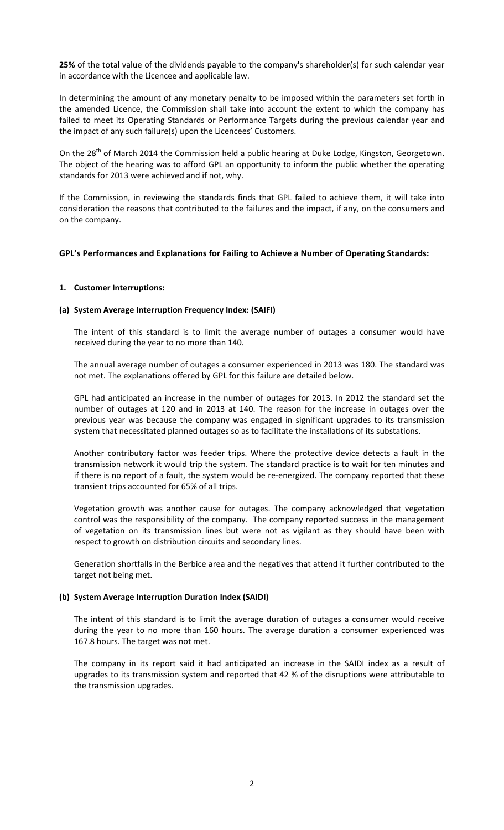**25%** of the total value of the dividends payable to the company's shareholder(s) for such calendar year in accordance with the Licencee and applicable law.

In determining the amount of any monetary penalty to be imposed within the parameters set forth in the amended Licence, the Commission shall take into account the extent to which the company has failed to meet its Operating Standards or Performance Targets during the previous calendar year and the impact of any such failure(s) upon the Licencees' Customers.

On the 28<sup>th</sup> of March 2014 the Commission held a public hearing at Duke Lodge, Kingston, Georgetown. The object of the hearing was to afford GPL an opportunity to inform the public whether the operating standards for 2013 were achieved and if not, why.

If the Commission, in reviewing the standards finds that GPL failed to achieve them, it will take into consideration the reasons that contributed to the failures and the impact, if any, on the consumers and on the company.

### **GPL's Performances and Explanations for Failing to Achieve a Number of Operating Standards:**

#### **1. Customer Interruptions:**

#### **(a) System Average Interruption Frequency Index: (SAIFI)**

The intent of this standard is to limit the average number of outages a consumer would have received during the year to no more than 140.

The annual average number of outages a consumer experienced in 2013 was 180. The standard was not met. The explanations offered by GPL for this failure are detailed below.

GPL had anticipated an increase in the number of outages for 2013. In 2012 the standard set the number of outages at 120 and in 2013 at 140. The reason for the increase in outages over the previous year was because the company was engaged in significant upgrades to its transmission system that necessitated planned outages so as to facilitate the installations of its substations.

Another contributory factor was feeder trips. Where the protective device detects a fault in the transmission network it would trip the system. The standard practice is to wait for ten minutes and if there is no report of a fault, the system would be re-energized. The company reported that these transient trips accounted for 65% of all trips.

Vegetation growth was another cause for outages. The company acknowledged that vegetation control was the responsibility of the company. The company reported success in the management of vegetation on its transmission lines but were not as vigilant as they should have been with respect to growth on distribution circuits and secondary lines.

Generation shortfalls in the Berbice area and the negatives that attend it further contributed to the target not being met.

#### **(b) System Average Interruption Duration Index (SAIDI)**

The intent of this standard is to limit the average duration of outages a consumer would receive during the year to no more than 160 hours. The average duration a consumer experienced was 167.8 hours. The target was not met.

The company in its report said it had anticipated an increase in the SAIDI index as a result of upgrades to its transmission system and reported that 42 % of the disruptions were attributable to the transmission upgrades.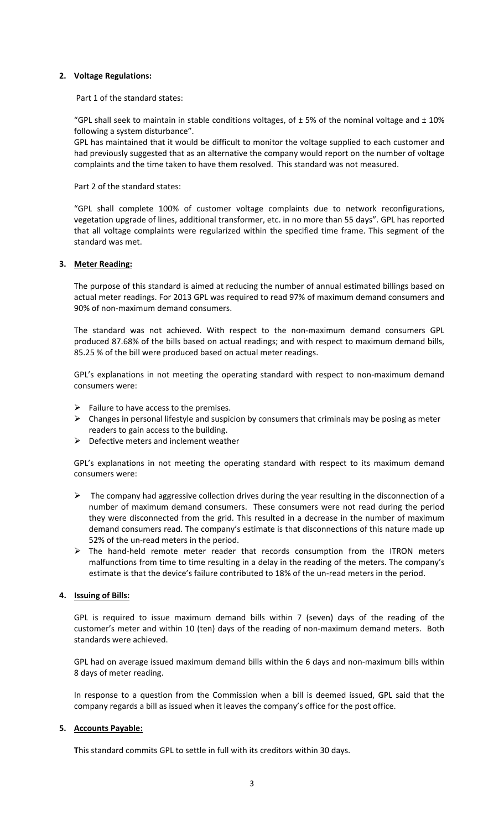#### **2. Voltage Regulations:**

Part 1 of the standard states:

"GPL shall seek to maintain in stable conditions voltages, of  $\pm$  5% of the nominal voltage and  $\pm$  10% following a system disturbance".

GPL has maintained that it would be difficult to monitor the voltage supplied to each customer and had previously suggested that as an alternative the company would report on the number of voltage complaints and the time taken to have them resolved. This standard was not measured.

Part 2 of the standard states:

"GPL shall complete 100% of customer voltage complaints due to network reconfigurations, vegetation upgrade of lines, additional transformer, etc. in no more than 55 days". GPL has reported that all voltage complaints were regularized within the specified time frame. This segment of the standard was met.

#### **3. Meter Reading:**

The purpose of this standard is aimed at reducing the number of annual estimated billings based on actual meter readings. For 2013 GPL was required to read 97% of maximum demand consumers and 90% of non‐maximum demand consumers.

The standard was not achieved. With respect to the non‐maximum demand consumers GPL produced 87.68% of the bills based on actual readings; and with respect to maximum demand bills, 85.25 % of the bill were produced based on actual meter readings.

GPL's explanations in not meeting the operating standard with respect to non-maximum demand consumers were:

- $\triangleright$  Failure to have access to the premises.
- $\triangleright$  Changes in personal lifestyle and suspicion by consumers that criminals may be posing as meter readers to gain access to the building.
- $\triangleright$  Defective meters and inclement weather

GPL's explanations in not meeting the operating standard with respect to its maximum demand consumers were:

- $\triangleright$  The company had aggressive collection drives during the year resulting in the disconnection of a number of maximum demand consumers. These consumers were not read during the period they were disconnected from the grid. This resulted in a decrease in the number of maximum demand consumers read. The company's estimate is that disconnections of this nature made up 52% of the un-read meters in the period.
- ¾ The hand‐held remote meter reader that records consumption from the ITRON meters malfunctions from time to time resulting in a delay in the reading of the meters. The company's estimate is that the device's failure contributed to 18% of the un-read meters in the period.

#### **4. Issuing of Bills:**

GPL is required to issue maximum demand bills within 7 (seven) days of the reading of the customer's meter and within 10 (ten) days of the reading of non‐maximum demand meters. Both standards were achieved.

GPL had on average issued maximum demand bills within the 6 days and non-maximum bills within 8 days of meter reading.

In response to a question from the Commission when a bill is deemed issued, GPL said that the company regards a bill as issued when it leaves the company's office for the post office.

#### **5. Accounts Payable:**

**T**his standard commits GPL to settle in full with its creditors within 30 days.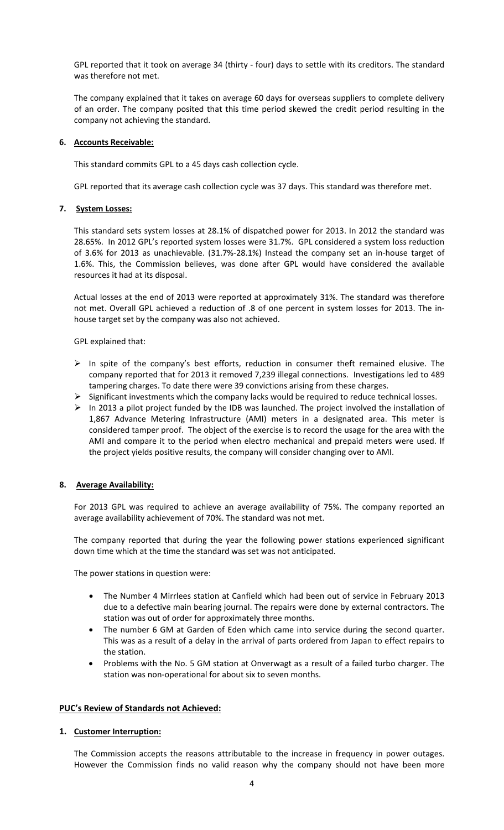GPL reported that it took on average 34 (thirty ‐ four) days to settle with its creditors. The standard was therefore not met.

The company explained that it takes on average 60 days for overseas suppliers to complete delivery of an order. The company posited that this time period skewed the credit period resulting in the company not achieving the standard.

#### **6. Accounts Receivable:**

This standard commits GPL to a 45 days cash collection cycle.

GPL reported that its average cash collection cycle was 37 days. This standard was therefore met.

#### **7. System Losses:**

This standard sets system losses at 28.1% of dispatched power for 2013. In 2012 the standard was 28.65%. In 2012 GPL's reported system losses were 31.7%. GPL considered a system loss reduction of 3.6% for 2013 as unachievable. (31.7%‐28.1%) Instead the company set an in‐house target of 1.6%. This, the Commission believes, was done after GPL would have considered the available resources it had at its disposal.

Actual losses at the end of 2013 were reported at approximately 31%. The standard was therefore not met. Overall GPL achieved a reduction of .8 of one percent in system losses for 2013. The in‐ house target set by the company was also not achieved.

GPL explained that:

- $\triangleright$  In spite of the company's best efforts, reduction in consumer theft remained elusive. The company reported that for 2013 it removed 7,239 illegal connections. Investigations led to 489 tampering charges. To date there were 39 convictions arising from these charges.
- $\triangleright$  Significant investments which the company lacks would be required to reduce technical losses.
- ¾ In 2013 a pilot project funded by the IDB was launched. The project involved the installation of 1,867 Advance Metering Infrastructure (AMI) meters in a designated area. This meter is considered tamper proof. The object of the exercise is to record the usage for the area with the AMI and compare it to the period when electro mechanical and prepaid meters were used. If the project yields positive results, the company will consider changing over to AMI.

# **8. Average Availability:**

For 2013 GPL was required to achieve an average availability of 75%. The company reported an average availability achievement of 70%. The standard was not met.

The company reported that during the year the following power stations experienced significant down time which at the time the standard was set was not anticipated.

The power stations in question were:

- The Number 4 Mirrlees station at Canfield which had been out of service in February 2013 due to a defective main bearing journal. The repairs were done by external contractors. The station was out of order for approximately three months.
- The number 6 GM at Garden of Eden which came into service during the second quarter. This was as a result of a delay in the arrival of parts ordered from Japan to effect repairs to the station.
- Problems with the No. 5 GM station at Onverwagt as a result of a failed turbo charger. The station was non‐operational for about six to seven months.

### **PUC's Review of Standards not Achieved:**

#### **1. Customer Interruption:**

The Commission accepts the reasons attributable to the increase in frequency in power outages. However the Commission finds no valid reason why the company should not have been more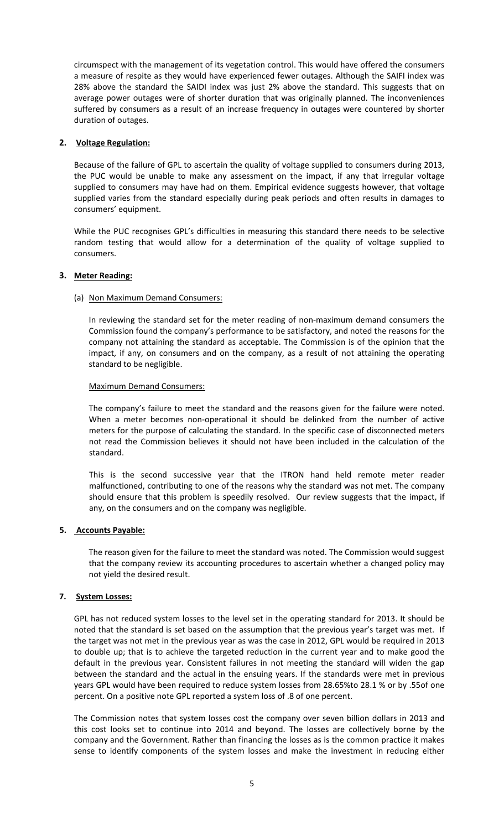circumspect with the management of its vegetation control. This would have offered the consumers a measure of respite as they would have experienced fewer outages. Although the SAIFI index was 28% above the standard the SAIDI index was just 2% above the standard. This suggests that on average power outages were of shorter duration that was originally planned. The inconveniences suffered by consumers as a result of an increase frequency in outages were countered by shorter duration of outages.

### **2. Voltage Regulation:**

Because of the failure of GPL to ascertain the quality of voltage supplied to consumers during 2013, the PUC would be unable to make any assessment on the impact, if any that irregular voltage supplied to consumers may have had on them. Empirical evidence suggests however, that voltage supplied varies from the standard especially during peak periods and often results in damages to consumers' equipment.

While the PUC recognises GPL's difficulties in measuring this standard there needs to be selective random testing that would allow for a determination of the quality of voltage supplied to consumers.

### **3. Meter Reading:**

### (a) Non Maximum Demand Consumers:

In reviewing the standard set for the meter reading of non‐maximum demand consumers the Commission found the company's performance to be satisfactory, and noted the reasons for the company not attaining the standard as acceptable. The Commission is of the opinion that the impact, if any, on consumers and on the company, as a result of not attaining the operating standard to be negligible.

#### Maximum Demand Consumers:

The company's failure to meet the standard and the reasons given for the failure were noted. When a meter becomes non-operational it should be delinked from the number of active meters for the purpose of calculating the standard. In the specific case of disconnected meters not read the Commission believes it should not have been included in the calculation of the standard.

This is the second successive year that the ITRON hand held remote meter reader malfunctioned, contributing to one of the reasons why the standard was not met. The company should ensure that this problem is speedily resolved. Our review suggests that the impact, if any, on the consumers and on the company was negligible.

#### **5. Accounts Payable:**

The reason given for the failure to meet the standard was noted. The Commission would suggest that the company review its accounting procedures to ascertain whether a changed policy may not yield the desired result.

### **7. System Losses:**

GPL has not reduced system losses to the level set in the operating standard for 2013. It should be noted that the standard is set based on the assumption that the previous year's target was met. If the target was not met in the previous year as was the case in 2012, GPL would be required in 2013 to double up; that is to achieve the targeted reduction in the current year and to make good the default in the previous year. Consistent failures in not meeting the standard will widen the gap between the standard and the actual in the ensuing years. If the standards were met in previous years GPL would have been required to reduce system losses from 28.65%to 28.1 % or by .55of one percent. On a positive note GPL reported a system loss of .8 of one percent.

The Commission notes that system losses cost the company over seven billion dollars in 2013 and this cost looks set to continue into 2014 and beyond. The losses are collectively borne by the company and the Government. Rather than financing the losses as is the common practice it makes sense to identify components of the system losses and make the investment in reducing either